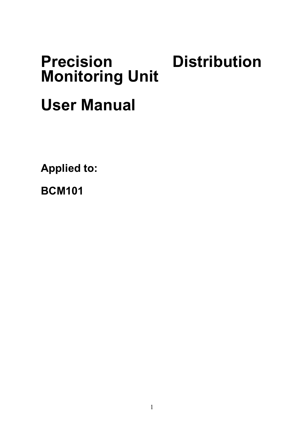# **Precision Distribution Monitoring Unit**

## **User Manual**

**Applied to:**

**BCM101**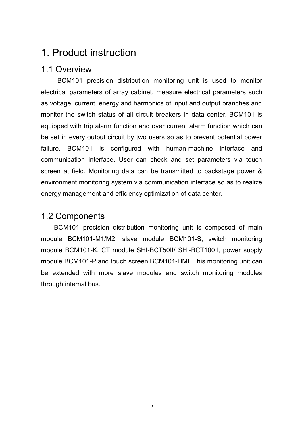## 1. Product instruction

## 1.1 Overview

BCM101 precision distribution monitoring unit is used to monitor electrical parameters of array cabinet, measure electrical parameters such as voltage, current, energy and harmonics of input and output branches and monitor the switch status of all circuit breakers in data center. BCM101 is equipped with trip alarm function and over current alarm function which can be set in every output circuit by two users so as to prevent potential power failure. BCM101 is configured with human-machine interface and communication interface. User can check and set parameters via touch screen at field. Monitoring data can be transmitted to backstage power & environment monitoring system via communication interface so as to realize energy management and efficiency optimization of data center.

## 1.2 Components

BCM101 precision distribution monitoring unit is composed of main module BCM101-M1/M2, slave module BCM101-S, switch monitoring module BCM101-K, CT module SHI-BCT50II/ SHI-BCT100II, power supply module BCM101-P and touch screen BCM101-HMI. This monitoring unit can be extended with more slave modules and switch monitoring modules through internal bus.

2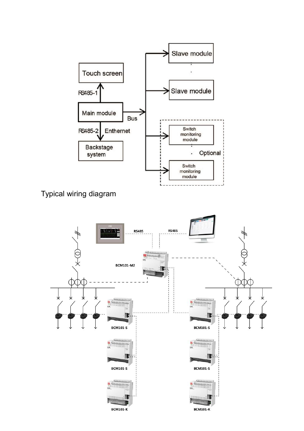

Typical wiring diagram

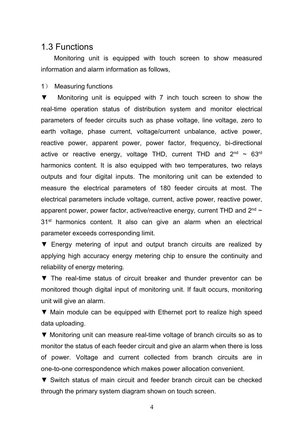## 1.3 Functions

Monitoring unit is equipped with touch screen to show measured information and alarm information as follows.

1) Measuring functions

▼ Monitoring unit is equipped with 7 inch touch screen to show the real-time operation status of distribution system and monitor electrical parameters of feeder circuits such as phase voltage, line voltage, zero to earth voltage, phase current, voltage/current unbalance, active power, reactive power, apparent power, power factor, frequency, bi-directional active or reactive energy, voltage THD, current THD and 2<sup>nd</sup>  $\sim$  63<sup>rd</sup> harmonics content. It is also equipped with two temperatures, two relays outputs and four digital inputs. The monitoring unit can be extended to measure the electrical parameters of 180 feeder circuits at most. The electrical parameters include voltage, current, active power, reactive power, apparent power, power factor, active/reactive energy, current THD and 2 $^{\rm{nd}}$  ~ 31<sup>st</sup> harmonics content. It also can give an alarm when an electrical parameter exceeds corresponding limit.

▼ Energy metering of input and output branch circuits are realized by applying high accuracy energy metering chip to ensure the continuity and reliability of energy metering.

▼ The real-time status of circuit breaker and thunder preventor can be monitored though digital input of monitoring unit. If fault occurs, monitoring unit will give an alarm.

▼ Main module canbe equipped with Ethernet port to realize high speed data uploading.

▼ Monitoring unit can measure real-time voltage of branch circuits so as to monitor the status of each feeder circuit and give an alarm when there isloss of power. Voltage and current collected from branch circuits are in one-to-one correspondence which makes power allocation convenient.

▼ Switch status of main circuit and feeder branch circuit can be checked through the primary system diagram shown on touch screen.

4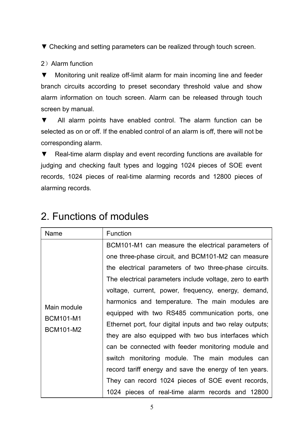▼ Checking and setting parameters can be realized through touch screen.

#### 2) Alarm function

▼ Monitoring unit realize off-limit alarm for main incoming line and feeder branch circuits according to preset secondary threshold value and show alarm information on touch screen. Alarm can be released through touch screen by manual.

▼ All alarm points have enabled control. The alarm function can be selected as on or off. If the enabled control of an alarm is off, there will not be corresponding alarm.

▼ Real-time alarm display and event recording functions are available for judging and checking fault types and logging 1024 pieces of SOE event records, 1024 pieces of real-time alarming records and 12800 pieces of alarming records.

| Name        | <b>Function</b>                                           |
|-------------|-----------------------------------------------------------|
|             | BCM101-M1 can measure the electrical parameters of        |
|             | one three-phase circuit, and BCM101-M2 can measure        |
|             | the electrical parameters of two three-phase circuits.    |
|             | The electrical parameters include voltage, zero to earth  |
|             | voltage, current, power, frequency, energy, demand,       |
|             | harmonics and temperature. The main modules are           |
| Main module | equipped with two RS485 communication ports, one          |
| BCM101-M1   | Ethernet port, four digital inputs and two relay outputs; |
| BCM101-M2   | they are also equipped with two bus interfaces which      |
|             | can be connected with feeder monitoring module and        |
|             | switch monitoring module. The main modules can            |
|             | record tariff energy and save the energy of ten years.    |
|             | They can record 1024 pieces of SOE event records,         |
|             | 1024 pieces of real-time alarm records and 12800          |

## 2. Functions of modules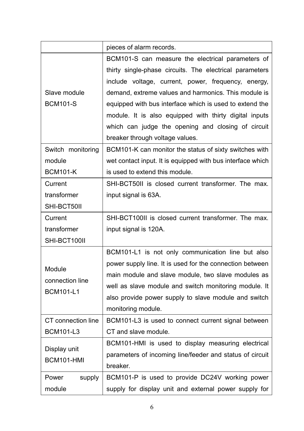|                    | pieces of alarm records.                                   |  |  |  |  |  |  |
|--------------------|------------------------------------------------------------|--|--|--|--|--|--|
|                    | BCM101-S can measure the electrical parameters of          |  |  |  |  |  |  |
|                    | thirty single-phase circuits. The electrical parameters    |  |  |  |  |  |  |
|                    | include voltage, current, power, frequency, energy,        |  |  |  |  |  |  |
| Slave module       | demand, extreme values and harmonics. This module is       |  |  |  |  |  |  |
| <b>BCM101-S</b>    | equipped with bus interface which is used to extend the    |  |  |  |  |  |  |
|                    | module. It is also equipped with thirty digital inputs     |  |  |  |  |  |  |
|                    | which can judge the opening and closing of circuit         |  |  |  |  |  |  |
|                    | breaker through voltage values.                            |  |  |  |  |  |  |
| Switch monitoring  | BCM101-K can monitor the status of sixty switches with     |  |  |  |  |  |  |
| module             | wet contact input. It is equipped with bus interface which |  |  |  |  |  |  |
| <b>BCM101-K</b>    | is used to extend this module.                             |  |  |  |  |  |  |
| Current            | SHI-BCT50II is closed current transformer. The max.        |  |  |  |  |  |  |
| transformer        | input signal is 63A.                                       |  |  |  |  |  |  |
| SHI-BCT50II        |                                                            |  |  |  |  |  |  |
| Current            | SHI-BCT100II is closed current transformer. The max.       |  |  |  |  |  |  |
| transformer        | input signal is 120A.                                      |  |  |  |  |  |  |
| SHI-BCT100II       |                                                            |  |  |  |  |  |  |
|                    | BCM101-L1 is not only communication line but also          |  |  |  |  |  |  |
| Module             | power supply line. It is used for the connection between   |  |  |  |  |  |  |
| connection line    | main module and slave module, two slave modules as         |  |  |  |  |  |  |
| BCM101-L1          | well as slave module and switch monitoring module. It      |  |  |  |  |  |  |
|                    | also provide power supply to slave module and switch       |  |  |  |  |  |  |
|                    | monitoring module.                                         |  |  |  |  |  |  |
| CT connection line | BCM101-L3 is used to connect current signal between        |  |  |  |  |  |  |
| BCM101-L3          | CT and slave module.                                       |  |  |  |  |  |  |
| Display unit       | BCM101-HMI is used to display measuring electrical         |  |  |  |  |  |  |
| BCM101-HMI         | parameters of incoming line/feeder and status of circuit   |  |  |  |  |  |  |
|                    | breaker.                                                   |  |  |  |  |  |  |
| Power<br>supply    | BCM101-P is used to provide DC24V working power            |  |  |  |  |  |  |
| module             | supply for display unit and external power supply for      |  |  |  |  |  |  |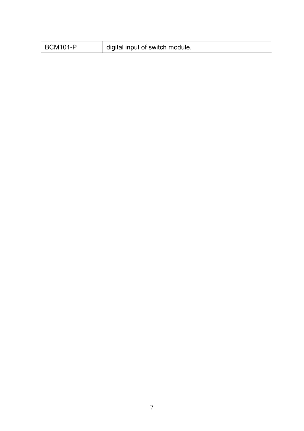| <b>BCM101-P</b> | digital input of switch module. |
|-----------------|---------------------------------|
|-----------------|---------------------------------|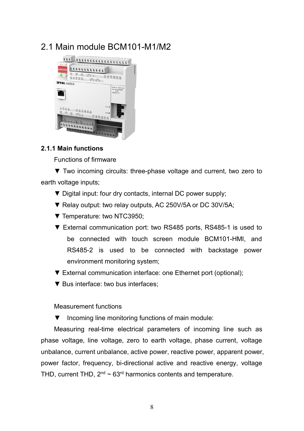## 2.1 Main module BCM101-M1/M2



#### **2.1.1 Main functions**

Functions of firmware

▼ Two incoming circuits: three-phase voltage and current, two zero to earth voltage inputs;

- ▼ Digital input: four dry contacts, internal DC power supply;
- ▼ Relay output: two relay outputs, AC 250V/5A or DC 30V/5A;
- ▼ Temperature: two NTC3950;
- ▼ External communication port: two RS485 ports, RS485-1 is used to be connected with touch screen module BCM101-HMI, and RS485-2 is used to be connected with backstage power environment monitoring system;
- ▼ External communication interface: one Ethernet port (optional);
- ▼ Bus interface: two bus interfaces:

#### Measurement functions

▼ Incoming line monitoring functions of main module:

Measuring real-time electrical parameters of incoming line such as phase voltage, line voltage, zero to earth voltage, phase current, voltage unbalance, current unbalance, active power, reactive power, apparent power, power factor, frequency, bi-directional active and reactive energy, voltage THD, current THD, 2 $^{\rm nd}$  ~ 63 $^{\rm rd}$  harmonics contents and temperature.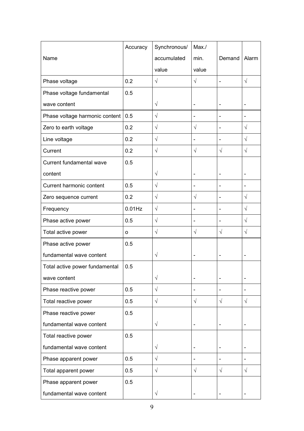|                                | Accuracy  | Synchronous/         | Max./          |                |                      |
|--------------------------------|-----------|----------------------|----------------|----------------|----------------------|
| Name                           |           | accumulated          | min.           | Demand         | Alarm                |
|                                |           | value                | value          |                |                      |
| Phase voltage                  | 0.2       | $\sqrt{ }$           | $\sqrt{}$      | ä,             | $\sqrt{}$            |
| Phase voltage fundamental      | 0.5       |                      |                |                |                      |
| wave content                   |           | $\sqrt{}$            | ÷              | $\overline{a}$ | $\overline{a}$       |
| Phase voltage harmonic content | 0.5       | $\sqrt{}$            | -              | Ĭ.             |                      |
| Zero to earth voltage          | 0.2       | $\sqrt{ }$           | $\sqrt{ }$     | $\overline{a}$ | $\sqrt{}$            |
| Line voltage                   | 0.2       | $\sqrt{ }$           | L.             | ÷.             | $\sqrt{\phantom{a}}$ |
| Current                        | 0.2       | $\sqrt{\phantom{a}}$ | $\sqrt{}$      | $\sqrt{ }$     | $\sqrt{}$            |
| Current fundamental wave       | 0.5       |                      |                |                |                      |
| content                        |           | $\sqrt{}$            | ۷              | ä,             | ä,                   |
| Current harmonic content       | 0.5       | $\sqrt{ }$           | $\overline{a}$ | $\overline{a}$ | $\overline{a}$       |
| Zero sequence current          | 0.2       | $\sqrt{}$            | $\sqrt{}$      | $\overline{a}$ | $\sqrt{}$            |
| Frequency                      | $0.01$ Hz | $\sqrt{}$            | L.             | $\overline{a}$ | $\sqrt{2}$           |
| Phase active power             | 0.5       | $\sqrt{}$            | L.             | ÷.             | $\sqrt{}$            |
| Total active power             | $\circ$   | $\sqrt{\phantom{a}}$ | $\sqrt{}$      | $\sqrt{}$      | $\sqrt{ }$           |
| Phase active power             | 0.5       |                      |                |                |                      |
| fundamental wave content       |           | $\sqrt{}$            |                | $\overline{a}$ | $\overline{a}$       |
| Total active power fundamental | 0.5       |                      |                |                |                      |
| wave content                   |           | $\sqrt{}$            | L.             | $\blacksquare$ | $\blacksquare$       |
| Phase reactive power           | 0.5       | $\sqrt{\phantom{a}}$ | $\overline{a}$ | $\overline{a}$ |                      |
| Total reactive power           | 0.5       | $\sqrt{ }$           | $\sqrt{}$      | $\sqrt{ }$     | $\sqrt{}$            |
| Phase reactive power           | 0.5       |                      |                |                |                      |
| fundamental wave content       |           | $\sqrt{}$            | L              | $\overline{a}$ | ä,                   |
| Total reactive power           | 0.5       |                      |                |                |                      |
| fundamental wave content       |           | $\sqrt{}$            | ÷              | ÷.             | L,                   |
| Phase apparent power           | 0.5       | $\sqrt{}$            | -              | L,             | $\blacksquare$       |
| Total apparent power           | 0.5       | $\sqrt{}$            | $\sqrt{}$      | $\sqrt{ }$     | $\sqrt{ }$           |
| Phase apparent power           | 0.5       |                      |                |                |                      |
| fundamental wave content       |           | $\sqrt{}$            |                |                |                      |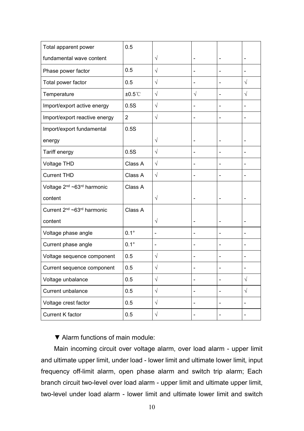| Total apparent power                               | 0.5              |                |                |                          |                          |
|----------------------------------------------------|------------------|----------------|----------------|--------------------------|--------------------------|
| fundamental wave content                           |                  | $\sqrt{}$      | ÷              |                          |                          |
| Phase power factor                                 | 0.5              | $\sqrt{}$      | $\overline{a}$ | ÷,                       | -                        |
| Total power factor                                 | 0.5              | $\sqrt{ }$     | $\overline{a}$ | $\overline{\phantom{0}}$ | $\sqrt{2}$               |
| Temperature                                        | $±0.5^{\circ}$ C | $\sqrt{}$      | $\sqrt{}$      | $\overline{\phantom{0}}$ | $\sqrt{}$                |
| Import/export active energy                        | 0.5S             | $\sqrt{}$      | $\overline{a}$ | $\overline{a}$           | ÷,                       |
| Import/export reactive energy                      | $\overline{c}$   | $\sqrt{}$      | $\overline{a}$ | ä,                       | L,                       |
| Import/export fundamental                          | 0.5S             |                |                |                          |                          |
| energy                                             |                  | $\sqrt{}$      | $\overline{a}$ |                          | -                        |
| Tariff energy                                      | 0.5S             | $\sqrt{ }$     | Ĭ.             | L,                       |                          |
| Voltage THD                                        | Class A          | $\sqrt{ }$     | $\overline{a}$ |                          | -                        |
| <b>Current THD</b>                                 | Class A          | $\sqrt{ }$     | ä,             | ÷,                       | L,                       |
| Voltage 2 <sup>nd</sup> ~63 <sup>rd</sup> harmonic | Class A          |                |                |                          |                          |
| content                                            |                  | $\sqrt{}$      | $\blacksquare$ | $\blacksquare$           | $\overline{\phantom{0}}$ |
| Current 2 <sup>nd</sup> ~63 <sup>rd</sup> harmonic | Class A          |                |                |                          |                          |
| content                                            |                  | $\sqrt{}$      | $\overline{a}$ | $\overline{\phantom{0}}$ | -                        |
| Voltage phase angle                                | $0.1^\circ$      | $\overline{a}$ | $\overline{a}$ | ÷,                       | $\overline{a}$           |
| Current phase angle                                | $0.1^\circ$      | $\overline{a}$ | $\overline{a}$ | ÷,                       | -                        |
| Voltage sequence component                         | 0.5              | $\sqrt{}$      |                |                          | -                        |
| Current sequence component                         | 0.5              | $\sqrt{}$      | -              |                          |                          |
| Voltage unbalance                                  | 0.5              | $\sqrt{ }$     | $\overline{a}$ | $\overline{\phantom{0}}$ | $\sqrt{}$                |
| Current unbalance                                  | 0.5              | $\sqrt{}$      | $\overline{a}$ | L,                       | $\sqrt{}$                |
| Voltage crest factor                               | 0.5              | $\sqrt{ }$     | $\blacksquare$ | $\overline{a}$           |                          |
| Current K factor                                   | 0.5              | $\sqrt{}$      | $\overline{a}$ |                          |                          |

▼ Alarm functions of main module:

Main incoming circuit over voltage alarm, over load alarm - upper limit and ultimate upper limit, under load - lower limit and ultimate lower limit, input frequency off-limit alarm, open phase alarm and switch trip alarm; Each branch circuit two-level over load alarm - upper limit and ultimate upper limit, two-level under load alarm - lower limit and ultimate lower limit and switch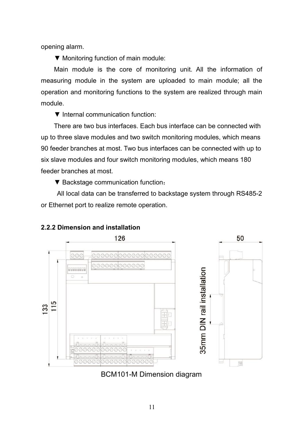opening alarm.

▼ Monitoring function of main module:

Main module is the core of monitoring unit. All the information of measuring module in the system are uploaded to main module; all the operation and monitoring functions to the system are realized through main module.

▼ Internal communication function:

There are two bus interfaces. Each bus interface can be connected with up to three slave modules and two switch monitoring modules, which means 90 feeder branches at most. Two bus interfaces can be connected with up to six slave modules and four switch monitoring modules, which means 180 feeder branches at most.

▼ Backstage communication function:

All local data can be transferred to backstage system through RS485-2 or Ethernet port to realize remote operation.



#### **2.2.2 Dimension and installation**

BCM101-M Dimension diagram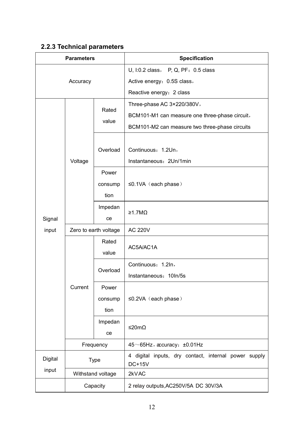## **2.2.3 Technical parameters**

| <b>Parameters</b> |                       |                   | Specification                                                         |  |  |  |
|-------------------|-----------------------|-------------------|-----------------------------------------------------------------------|--|--|--|
|                   |                       |                   | U, I:0.2 class, P, Q, PF: 0.5 class                                   |  |  |  |
| Accuracy          |                       |                   | Active energy: 0.5S class,                                            |  |  |  |
|                   |                       |                   | Reactive energy: 2 class                                              |  |  |  |
|                   |                       |                   | Three-phase AC 3×220/380V,                                            |  |  |  |
|                   |                       | Rated             | BCM101-M1 can measure one three-phase circuit,                        |  |  |  |
|                   |                       | value             | BCM101-M2 can measure two three-phase circuits                        |  |  |  |
|                   |                       |                   |                                                                       |  |  |  |
|                   |                       | Overload          | Continuous: 1.2Un,                                                    |  |  |  |
|                   | Voltage               |                   | Instantaneous: 2Un/1min                                               |  |  |  |
|                   |                       | Power             |                                                                       |  |  |  |
|                   |                       | consump           | $\leq$ 0.1VA (each phase)                                             |  |  |  |
|                   |                       | tion              |                                                                       |  |  |  |
|                   |                       | Impedan           |                                                                       |  |  |  |
| Signal            |                       | ce                | ≥1.7MΩ                                                                |  |  |  |
| input             | Zero to earth voltage |                   | <b>AC 220V</b>                                                        |  |  |  |
|                   |                       | Rated             |                                                                       |  |  |  |
|                   |                       | value             | AC5A/AC1A                                                             |  |  |  |
|                   |                       | Overload          | Continuous: 1.2ln,                                                    |  |  |  |
|                   |                       |                   | Instantaneous: 10In/5s                                                |  |  |  |
|                   | Current               | Power             |                                                                       |  |  |  |
|                   |                       | consump           | ≤0.2VA (each phase)                                                   |  |  |  |
|                   |                       | tion              |                                                                       |  |  |  |
|                   |                       | Impedan           |                                                                       |  |  |  |
|                   |                       | ce                | ≤20mΩ                                                                 |  |  |  |
|                   | Frequency             |                   | 45~65Hz, accuracy: ±0.01Hz                                            |  |  |  |
| Digital           | Type                  |                   | 4 digital inputs, dry contact, internal power supply<br><b>DC+15V</b> |  |  |  |
| input             |                       | Withstand voltage | 2kVAC                                                                 |  |  |  |
|                   |                       | Capacity          | 2 relay outputs, AC250V/5A DC 30V/3A                                  |  |  |  |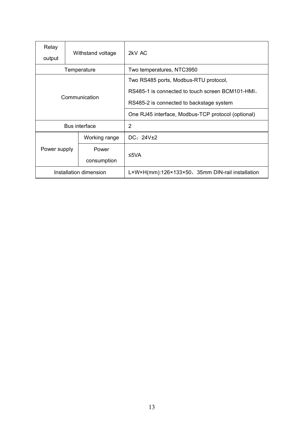| Relay<br>output        | Withstand voltage | 2kV AC                                             |  |
|------------------------|-------------------|----------------------------------------------------|--|
|                        | Temperature       | Two temperatures, NTC3950                          |  |
|                        |                   | Two RS485 ports, Modbus-RTU protocol,              |  |
|                        |                   | RS485-1 is connected to touch screen BCM101-HMI,   |  |
|                        | Communication     | RS485-2 is connected to backstage system           |  |
|                        |                   | One RJ45 interface, Modbus-TCP protocol (optional) |  |
|                        | Bus interface     | $\overline{2}$                                     |  |
|                        | Working range     | DC: $24V±2$                                        |  |
| Power supply           | Power             |                                                    |  |
|                        | consumption       | ≤5VA                                               |  |
| Installation dimension |                   | L×W×H(mm):126×133×50,35mm DIN-rail installation    |  |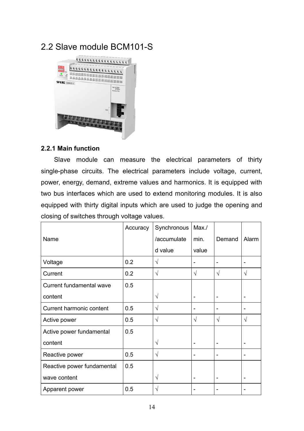## 2.2 Slave module BCM101-S



#### **2.2.1 Main function**

Slave module can measure the electrical parameters of thirty single-phase circuits. The electrical parameters include voltage, current, power, energy, demand, extreme values and harmonics. It is equipped with two bus interfaces which are used to extend monitoring modules. It is also equipped with thirty digital inputs which are used to judge the opening and closing of switches through voltage values.

|                            | Accuracy | Synchronous | Max./                        |                          |                          |
|----------------------------|----------|-------------|------------------------------|--------------------------|--------------------------|
| Name                       |          | /accumulate | min.                         | Demand                   | Alarm                    |
|                            |          | d value     | value                        |                          |                          |
| Voltage                    | 0.2      | V           |                              | ÷                        |                          |
| Current                    | 0.2      | V           | $\sqrt{ }$                   | $\sqrt{ }$               | $\sqrt{}$                |
| Current fundamental wave   | 0.5      |             |                              |                          |                          |
| content                    |          | V           | ٠                            | $\overline{\phantom{a}}$ | $\blacksquare$           |
| Current harmonic content   | 0.5      | V           | ٠                            | ۰                        |                          |
| Active power               | 0.5      | V           | $\sqrt{}$                    | $\sqrt{ }$               | $\sqrt{}$                |
| Active power fundamental   | 0.5      |             |                              |                          |                          |
| content                    |          | V           | ٠                            | $\overline{\phantom{a}}$ | $\blacksquare$           |
| Reactive power             | 0.5      | V           | ٠                            | $\overline{\phantom{a}}$ | ٠                        |
| Reactive power fundamental | 0.5      |             |                              |                          |                          |
| wave content               |          | V           | $\qquad \qquad \blacksquare$ | $\overline{\phantom{a}}$ | $\overline{\phantom{a}}$ |
| Apparent power             | 0.5      | V           | ٠                            | ٠                        |                          |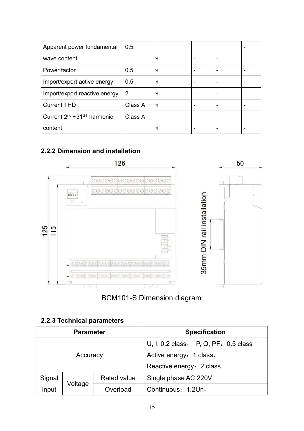| Apparent power fundamental                  | 0.5     |  |                          |  |
|---------------------------------------------|---------|--|--------------------------|--|
| wave content                                |         |  |                          |  |
| Power factor                                | 0.5     |  | $\overline{\phantom{0}}$ |  |
| Import/export active energy                 | 0.5     |  |                          |  |
| Import/export reactive energy               | 2       |  |                          |  |
| <b>Current THD</b>                          | Class A |  | $\overline{\phantom{0}}$ |  |
| Current $2^{nd}$ ~31 <sup>ST</sup> harmonic | Class A |  |                          |  |
| content                                     |         |  | $\overline{\phantom{0}}$ |  |

## **2.2.2 Dimension and installation**



## BCM101-S Dimension diagram

## **2.2.3 Technical parameters**

| <b>Parameter</b> |          |             | <b>Specification</b>                   |  |  |
|------------------|----------|-------------|----------------------------------------|--|--|
|                  |          |             | U, I: 0.2 class, $P, Q, PF: 0.5$ class |  |  |
|                  | Accuracy |             | Active energy: 1 class,                |  |  |
|                  |          |             | Reactive energy: 2 class               |  |  |
| Signal           |          | Rated value | Single phase AC 220V                   |  |  |
| input            | Voltage  | Overload    | Continuous: 1.2Un,                     |  |  |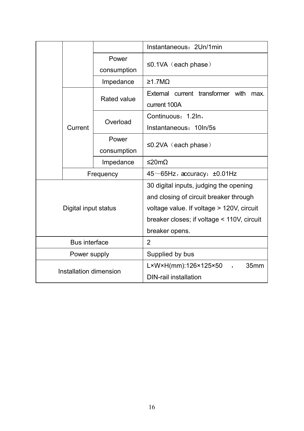|  |                        |             | Instantaneous: 2Un/1min                             |  |  |
|--|------------------------|-------------|-----------------------------------------------------|--|--|
|  |                        | Power       |                                                     |  |  |
|  |                        | consumption | $\leq$ 0.1VA (each phase)                           |  |  |
|  |                        | Impedance   | $\geq$ 1.7M $\Omega$                                |  |  |
|  |                        |             | External current transformer with max.              |  |  |
|  |                        | Rated value | current 100A                                        |  |  |
|  |                        | Overload    | Continuous: 1.2In,                                  |  |  |
|  | Current                |             | Instantaneous: 10In/5s                              |  |  |
|  |                        | Power       | ≤0.2VA (each phase)                                 |  |  |
|  |                        | consumption |                                                     |  |  |
|  |                        | Impedance   | ≤20mΩ                                               |  |  |
|  | Frequency              |             | $45 \sim 65$ Hz, accuracy: $\pm 0.01$ Hz            |  |  |
|  |                        |             | 30 digital inputs, judging the opening              |  |  |
|  |                        |             | and closing of circuit breaker through              |  |  |
|  | Digital input status   |             | voltage value. If voltage > 120V, circuit           |  |  |
|  |                        |             | breaker closes; if voltage < 110V, circuit          |  |  |
|  |                        |             | breaker opens.                                      |  |  |
|  | Bus interface          |             | $\overline{2}$                                      |  |  |
|  | Power supply           |             | Supplied by bus                                     |  |  |
|  |                        |             | L×W×H(mm):126×125×50<br>35 <sub>mm</sub><br>$\cdot$ |  |  |
|  | Installation dimension |             | <b>DIN-rail installation</b>                        |  |  |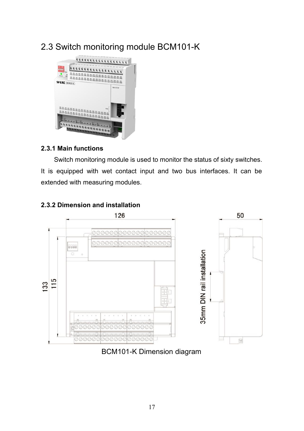## 2.3 Switch monitoring module BCM101-K



#### **2.3.1 Main functions**

Switch monitoring module is used to monitor the status of sixty switches. It is equipped with wet contact input and two bus interfaces. It can be extended with measuring modules.



## **2.3.2 Dimension and installation**

## BCM101-K Dimension diagram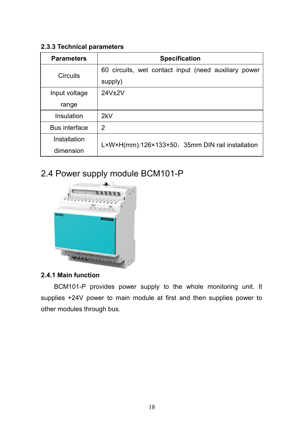#### **2.3.3 Technical parameters**

| <b>Parameters</b>    | <b>Specification</b>                                 |  |
|----------------------|------------------------------------------------------|--|
| <b>Circuits</b>      | 60 circuits, wet contact input (need auxiliary power |  |
|                      | supply)                                              |  |
| Input voltage        | 24V+2V                                               |  |
| range                |                                                      |  |
| Insulation           | 2kV                                                  |  |
| <b>Bus interface</b> | $\overline{2}$                                       |  |
| Installation         | L×W×H(mm):126×133×50,35mm DIN rail installation      |  |
| dimension            |                                                      |  |

## 2.4 Power supply module BCM101-P



## **2.4.1 Main function**

BCM101-P provides power supply to the whole monitoring unit. It supplies +24V power to main module at first and then supplies power to other modules through bus.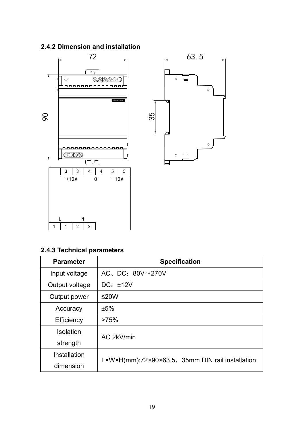## **2.4.2 Dimension and installation**



## **2.4.3 Technical parameters**

| <b>Parameter</b> | <b>Specification</b>                             |
|------------------|--------------------------------------------------|
| Input voltage    | AC, DC: $80V \sim 270V$                          |
| Output voltage   | $DC: \pm 12V$                                    |
| Output power     | ≤20W                                             |
| Accuracy         | ±5%                                              |
| Efficiency       | >75%                                             |
| Isolation        | AC 2kV/min                                       |
| strength         |                                                  |
| Installation     | L×W×H(mm):72×90×63.5, 35mm DIN rail installation |
| dimension        |                                                  |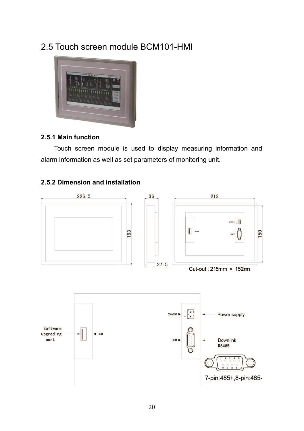## 2.5 Touch screen module BCM101-HMI



#### **2.5.1 Main function**

Touch screen module is used to display measuring information and alarm information as well as set parameters of monitoring unit.

#### **2.5.2 Dimension and installation**

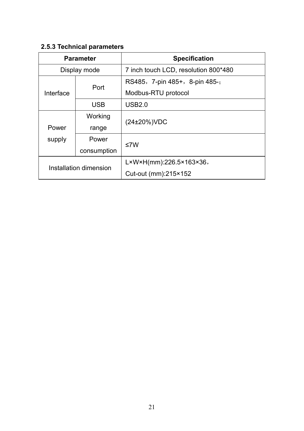## **2.5.3 Technical parameters**

| <b>Parameter</b>       |             | <b>Specification</b>                                       |  |
|------------------------|-------------|------------------------------------------------------------|--|
| Display mode           |             | 7 inch touch LCD, resolution 800*480                       |  |
| Interface              | Port        | RS485, 7-pin 485+, 8-pin 485-;                             |  |
|                        |             | Modbus-RTU protocol                                        |  |
|                        | <b>USB</b>  | USB2.0                                                     |  |
| Power<br>supply        | Working     | (24±20%)VDC                                                |  |
|                        | range       |                                                            |  |
|                        | Power       | ≤7W                                                        |  |
|                        | consumption |                                                            |  |
| Installation dimension |             | $L \times W \times H$ (mm):226.5 $\times$ 163 $\times$ 36, |  |
|                        |             | Cut-out (mm):215×152                                       |  |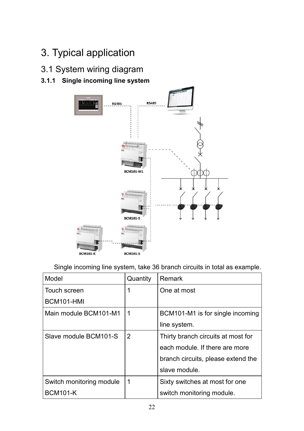## 3. Typical application

3.1 System wiring diagram

## **3.1.1 Single incoming line system**



Single incoming line system, take 36 branch circuits in total as example.

| Model                    | Quantity | Remark                             |
|--------------------------|----------|------------------------------------|
| Touch screen             |          | One at most                        |
| BCM101-HMI               |          |                                    |
| Main module BCM101-M1    | 1        | BCM101-M1 is for single incoming   |
|                          |          | line system.                       |
| Slave module BCM101-S    | 2        | Thirty branch circuits at most for |
|                          |          | each module. If there are more     |
|                          |          | branch circuits, please extend the |
|                          |          | slave module.                      |
| Switch monitoring module | 1        | Sixty switches at most for one     |
| <b>BCM101-K</b>          |          | switch monitoring module.          |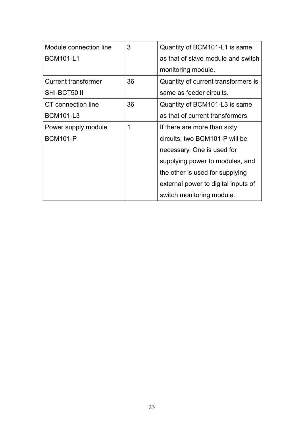| Module connection line     | 3  | Quantity of BCM101-L1 is same       |
|----------------------------|----|-------------------------------------|
| <b>BCM101-L1</b>           |    | as that of slave module and switch  |
|                            |    | monitoring module.                  |
| <b>Current transformer</b> | 36 | Quantity of current transformers is |
| SHI-BCT50 II               |    | same as feeder circuits.            |
| CT connection line         | 36 | Quantity of BCM101-L3 is same       |
| <b>BCM101-L3</b>           |    | as that of current transformers.    |
| Power supply module        | 1  | If there are more than sixty        |
| <b>BCM101-P</b>            |    | circuits, two BCM101-P will be      |
|                            |    | necessary. One is used for          |
|                            |    | supplying power to modules, and     |
|                            |    | the other is used for supplying     |
|                            |    | external power to digital inputs of |
|                            |    | switch monitoring module.           |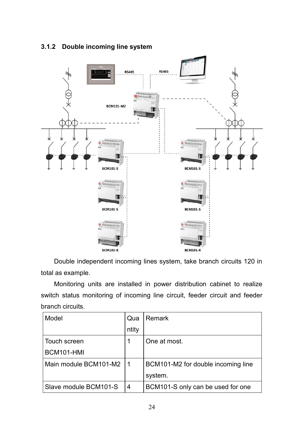

## **3.1.2 Double incoming line system**

Double independent incoming lines system, take branch circuits 120 in total as example.

Monitoring units are installed in power distribution cabinet to realize switch status monitoring of incoming line circuit, feeder circuit and feeder branch circuits.

| Model                 | Qua   | Remark                             |
|-----------------------|-------|------------------------------------|
|                       | ntity |                                    |
| Touch screen          |       | One at most.                       |
| BCM101-HMI            |       |                                    |
| Main module BCM101-M2 | 1     | BCM101-M2 for double incoming line |
|                       |       | system.                            |
| Slave module BCM101-S | 4     | BCM101-S only can be used for one  |